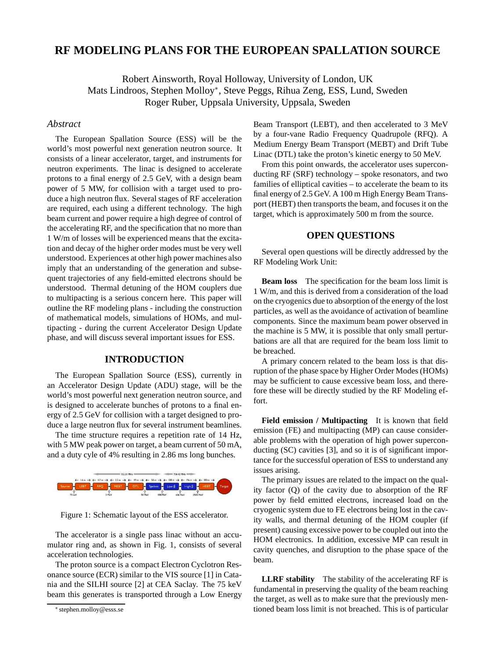# **RF MODELING PLANS FOR THE EUROPEAN SPALLATION SOURCE**

Robert Ainsworth, Royal Holloway, University of London, UK Mats Lindroos, Stephen Molloy<sup>∗</sup> , Steve Peggs, Rihua Zeng, ESS, Lund, Sweden Roger Ruber, Uppsala University, Uppsala, Sweden

## *Abstract*

The European Spallation Source (ESS) will be the world's most powerful next generation neutron source. It consists of a linear accelerator, target, and instruments for neutron experiments. The linac is designed to accelerate protons to a final energy of 2.5 GeV, with a design beam power of 5 MW, for collision with a target used to produce a high neutron flux. Several stages of RF acceleration are required, each using a different technology. The high beam current and power require a high degree of control of the accelerating RF, and the specification that no more than 1 W/m of losses will be experienced means that the excitation and decay of the higher order modes must be very well understood. Experiences at other high power machines also imply that an understanding of the generation and subsequent trajectories of any field-emitted electrons should be understood. Thermal detuning of the HOM couplers due to multipacting is a serious concern here. This paper will outline the RF modeling plans - including the construction of mathematical models, simulations of HOMs, and multipacting - during the current Accelerator Design Update phase, and will discuss several important issues for ESS.

## **INTRODUCTION**

The European Spallation Source (ESS), currently in an Accelerator Design Update (ADU) stage, will be the world's most powerful next generation neutron source, and is designed to accelerate bunches of protons to a final energy of 2.5 GeV for collision with a target designed to produce a large neutron flux for several instrument beamlines.

The time structure requires a repetition rate of 14 Hz, with 5 MW peak power on target, a beam current of 50 mA, and a duty cyle of 4% resulting in 2.86 ms long bunches.



Figure 1: Schematic layout of the ESS accelerator.

The accelerator is a single pass linac without an accumulator ring and, as shown in Fig. 1, consists of several acceleration technologies.

The proton source is a compact Electron Cyclotron Resonance source (ECR) similar to the VIS source [1] in Catania and the SILHI source [2] at CEA Saclay. The 75 keV beam this generates is transported through a Low Energy Beam Transport (LEBT), and then accelerated to 3 MeV by a four-vane Radio Frequency Quadrupole (RFQ). A Medium Energy Beam Transport (MEBT) and Drift Tube Linac (DTL) take the proton's kinetic energy to 50 MeV.

From this point onwards, the accelerator uses superconducting RF (SRF) technology – spoke resonators, and two families of elliptical cavities – to accelerate the beam to its final energy of 2.5 GeV. A 100 m High Energy Beam Transport (HEBT) then transports the beam, and focuses it on the target, which is approximately 500 m from the source.

## **OPEN QUESTIONS**

Several open questions will be directly addressed by the RF Modeling Work Unit:

**Beam loss** The specification for the beam loss limit is 1 W/m, and this is derived from a consideration of the load on the cryogenics due to absorption of the energy of the lost particles, as well as the avoidance of activation of beamline components. Since the maximum beam power observed in the machine is 5 MW, it is possible that only small perturbations are all that are required for the beam loss limit to be breached.

A primary concern related to the beam loss is that disruption of the phase space by Higher Order Modes (HOMs) may be sufficient to cause excessive beam loss, and therefore these will be directly studied by the RF Modeling effort.

**Field emission / Multipacting** It is known that field emission (FE) and multipacting (MP) can cause considerable problems with the operation of high power superconducting (SC) cavities [3], and so it is of significant importance for the successful operation of ESS to understand any issues arising.

The primary issues are related to the impact on the quality factor (Q) of the cavity due to absorption of the RF power by field emitted electrons, increased load on the cryogenic system due to FE electrons being lost in the cavity walls, and thermal detuning of the HOM coupler (if present) causing excessive power to be coupled out into the HOM electronics. In addition, excessive MP can result in cavity quenches, and disruption to the phase space of the beam.

**LLRF stability** The stability of the accelerating RF is fundamental in preserving the quality of the beam reaching the target, as well as to make sure that the previously mentioned beam loss limit is not breached. This is of particular

<sup>∗</sup> stephen.molloy@esss.se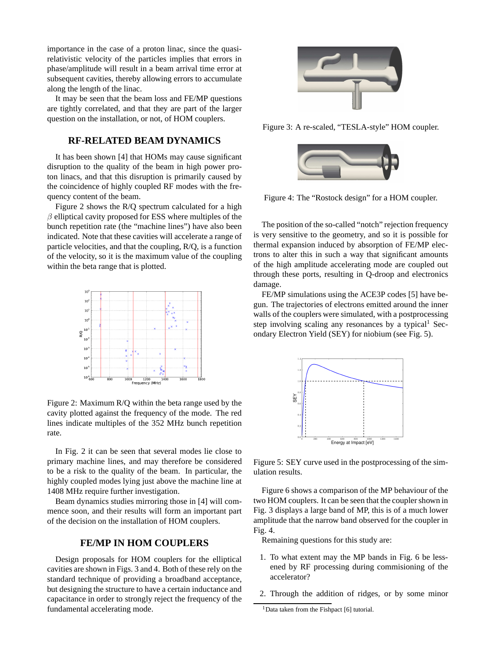importance in the case of a proton linac, since the quasirelativistic velocity of the particles implies that errors in phase/amplitude will result in a beam arrival time error at subsequent cavities, thereby allowing errors to accumulate along the length of the linac.

It may be seen that the beam loss and FE/MP questions are tightly correlated, and that they are part of the larger question on the installation, or not, of HOM couplers.

#### **RF-RELATED BEAM DYNAMICS**

It has been shown [4] that HOMs may cause significant disruption to the quality of the beam in high power proton linacs, and that this disruption is primarily caused by the coincidence of highly coupled RF modes with the frequency content of the beam.

Figure 2 shows the R/Q spectrum calculated for a high  $\beta$  elliptical cavity proposed for ESS where multiples of the bunch repetition rate (the "machine lines") have also been indicated. Note that these cavities will accelerate a range of particle velocities, and that the coupling, R/Q, is a function of the velocity, so it is the maximum value of the coupling within the beta range that is plotted.



Figure 2: Maximum R/Q within the beta range used by the cavity plotted against the frequency of the mode. The red lines indicate multiples of the 352 MHz bunch repetition rate.

In Fig. 2 it can be seen that several modes lie close to primary machine lines, and may therefore be considered to be a risk to the quality of the beam. In particular, the highly coupled modes lying just above the machine line at 1408 MHz require further investigation.

Beam dynamics studies mirroring those in [4] will commence soon, and their results will form an important part of the decision on the installation of HOM couplers.

### **FE/MP IN HOM COUPLERS**

Design proposals for HOM couplers for the elliptical cavities are shown in Figs. 3 and 4. Both of these rely on the standard technique of providing a broadband acceptance, but designing the structure to have a certain inductance and capacitance in order to strongly reject the frequency of the fundamental accelerating mode.



Figure 3: A re-scaled, "TESLA-style" HOM coupler.



Figure 4: The "Rostock design" for a HOM coupler.

The position of the so-called "notch" rejection frequency is very sensitive to the geometry, and so it is possible for thermal expansion induced by absorption of FE/MP electrons to alter this in such a way that significant amounts of the high amplitude accelerating mode are coupled out through these ports, resulting in Q-droop and electronics damage.

FE/MP simulations using the ACE3P codes [5] have begun. The trajectories of electrons emitted around the inner walls of the couplers were simulated, with a postprocessing step involving scaling any resonances by a typical<sup>1</sup> Secondary Electron Yield (SEY) for niobium (see Fig. 5).



Figure 5: SEY curve used in the postprocessing of the simulation results.

Figure 6 shows a comparison of the MP behaviour of the two HOM couplers. It can be seen that the coupler shown in Fig. 3 displays a large band of MP, this is of a much lower amplitude that the narrow band observed for the coupler in Fig. 4.

Remaining questions for this study are:

- 1. To what extent may the MP bands in Fig. 6 be lessened by RF processing during commisioning of the accelerator?
- 2. Through the addition of ridges, or by some minor

<sup>&</sup>lt;sup>1</sup>Data taken from the Fishpact [6] tutorial.